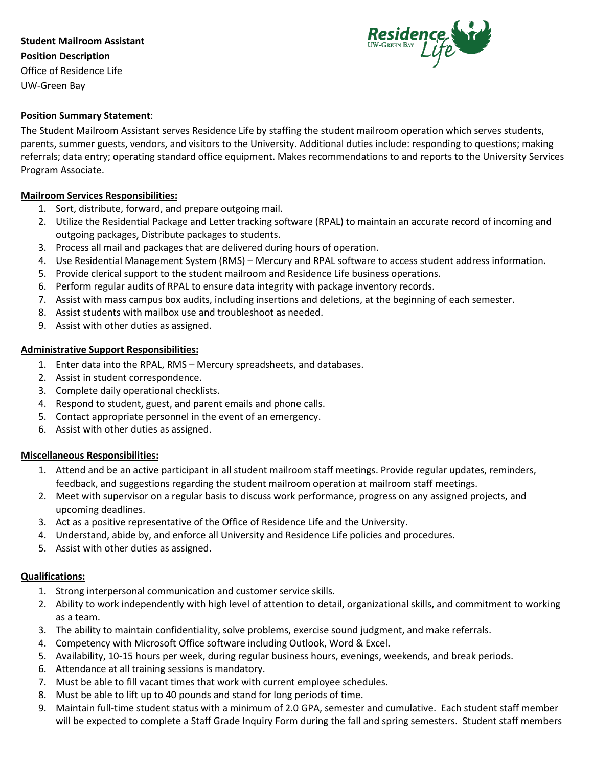# **Student Mailroom Assistant Position Description** Office of Residence Life UW-Green Bay



## **Position Summary Statement**:

The Student Mailroom Assistant serves Residence Life by staffing the student mailroom operation which serves students, parents, summer guests, vendors, and visitors to the University. Additional duties include: responding to questions; making referrals; data entry; operating standard office equipment. Makes recommendations to and reports to the University Services Program Associate.

### **Mailroom Services Responsibilities:**

- 1. Sort, distribute, forward, and prepare outgoing mail.
- 2. Utilize the Residential Package and Letter tracking software (RPAL) to maintain an accurate record of incoming and outgoing packages, Distribute packages to students.
- 3. Process all mail and packages that are delivered during hours of operation.
- 4. Use Residential Management System (RMS) Mercury and RPAL software to access student address information.
- 5. Provide clerical support to the student mailroom and Residence Life business operations.
- 6. Perform regular audits of RPAL to ensure data integrity with package inventory records.
- 7. Assist with mass campus box audits, including insertions and deletions, at the beginning of each semester.
- 8. Assist students with mailbox use and troubleshoot as needed.
- 9. Assist with other duties as assigned.

### **Administrative Support Responsibilities:**

- 1. Enter data into the RPAL, RMS Mercury spreadsheets, and databases.
- 2. Assist in student correspondence.
- 3. Complete daily operational checklists.
- 4. Respond to student, guest, and parent emails and phone calls.
- 5. Contact appropriate personnel in the event of an emergency.
- 6. Assist with other duties as assigned.

### **Miscellaneous Responsibilities:**

- 1. Attend and be an active participant in all student mailroom staff meetings. Provide regular updates, reminders, feedback, and suggestions regarding the student mailroom operation at mailroom staff meetings.
- 2. Meet with supervisor on a regular basis to discuss work performance, progress on any assigned projects, and upcoming deadlines.
- 3. Act as a positive representative of the Office of Residence Life and the University.
- 4. Understand, abide by, and enforce all University and Residence Life policies and procedures.
- 5. Assist with other duties as assigned.

### **Qualifications:**

- 1. Strong interpersonal communication and customer service skills.
- 2. Ability to work independently with high level of attention to detail, organizational skills, and commitment to working as a team.
- 3. The ability to maintain confidentiality, solve problems, exercise sound judgment, and make referrals.
- 4. Competency with Microsoft Office software including Outlook, Word & Excel.
- 5. Availability, 10-15 hours per week, during regular business hours, evenings, weekends, and break periods.
- 6. Attendance at all training sessions is mandatory.
- 7. Must be able to fill vacant times that work with current employee schedules.
- 8. Must be able to lift up to 40 pounds and stand for long periods of time.
- 9. Maintain full-time student status with a minimum of 2.0 GPA, semester and cumulative. Each student staff member will be expected to complete a Staff Grade Inquiry Form during the fall and spring semesters. Student staff members